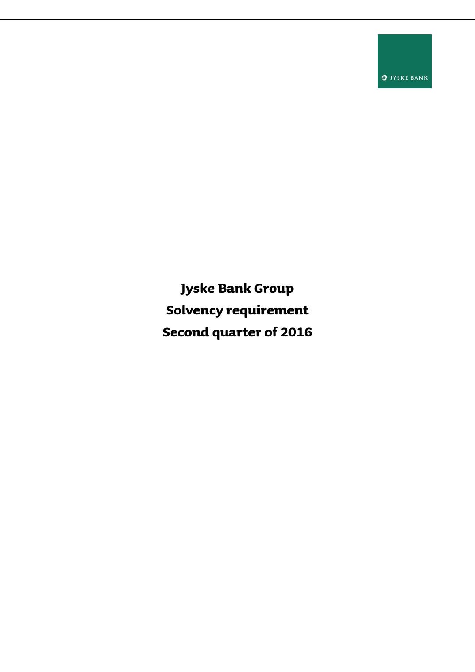**O** JYSKE BANK

**Jyske Bank Group Solvency requirement Second quarter of 2016**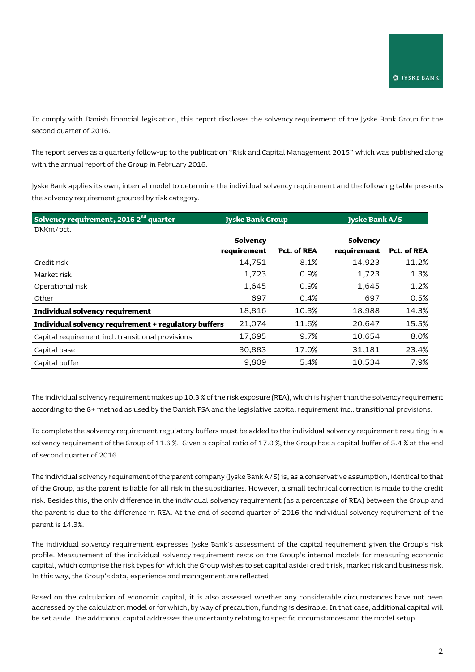To comply with Danish financial legislation, this report discloses the solvency requirement of the Jyske Bank Group for the second quarter of 2016.

The report serves as a quarterly follow-up to the publication "Risk and Capital Management 2015" which was published along with the annual report of the Group in February 2016.

Jyske Bank applies its own, internal model to determine the individual solvency requirement and the following table presents the solvency requirement grouped by risk category.

| Solvency requirement, 2016 2 <sup>nd</sup> quarter   |             | <b>Jyske Bank Group</b> |             | <b>Jyske Bank A/S</b> |  |
|------------------------------------------------------|-------------|-------------------------|-------------|-----------------------|--|
| DKKm/pct.                                            |             |                         |             |                       |  |
|                                                      | Solvency    |                         | Solvency    |                       |  |
|                                                      | requirement | Pct. of REA             | requirement | Pct. of REA           |  |
| Credit risk                                          | 14,751      | 8.1%                    | 14,923      | 11.2%                 |  |
| Market risk                                          | 1,723       | 0.9%                    | 1,723       | 1.3%                  |  |
| Operational risk                                     | 1,645       | 0.9%                    | 1,645       | 1.2%                  |  |
| Other                                                | 697         | 0.4%                    | 697         | 0.5%                  |  |
| Individual solvency requirement                      | 18,816      | 10.3%                   | 18,988      | 14.3%                 |  |
| Individual solvency requirement + regulatory buffers | 21,074      | 11.6%                   | 20,647      | 15.5%                 |  |
| Capital requirement incl. transitional provisions    | 17,695      | 9.7%                    | 10,654      | 8.0%                  |  |
| Capital base                                         | 30,883      | 17.0%                   | 31,181      | 23.4%                 |  |
| Capital buffer                                       | 9,809       | 5.4%                    | 10,534      | 7.9%                  |  |

The individual solvency requirement makes up 10.3 % of the risk exposure (REA), which is higher than the solvency requirement according to the 8+ method as used by the Danish FSA and the legislative capital requirement incl. transitional provisions.

To complete the solvency requirement regulatory buffers must be added to the individual solvency requirement resulting in a solvency requirement of the Group of 11.6 %. Given a capital ratio of 17.0 %, the Group has a capital buffer of 5.4 % at the end of second quarter of 2016.

The individual solvency requirement of the parent company (Jyske Bank A/S) is, as a conservative assumption, identical to that of the Group, as the parent is liable for all risk in the subsidiaries. However, a small technical correction is made to the credit risk. Besides this, the only difference in the individual solvency requirement (as a percentage of REA) between the Group and the parent is due to the difference in REA. At the end of second quarter of 2016 the individual solvency requirement of the parent is 14.3%.

The individual solvency requirement expresses Jyske Bank's assessment of the capital requirement given the Group's risk profile. Measurement of the individual solvency requirement rests on the Group's internal models for measuring economic capital, which comprise the risk types for which the Group wishes to set capital aside: credit risk, market risk and business risk. In this way, the Group's data, experience and management are reflected.

Based on the calculation of economic capital, it is also assessed whether any considerable circumstances have not been addressed by the calculation model or for which, by way of precaution, funding is desirable. In that case, additional capital will be set aside. The additional capital addresses the uncertainty relating to specific circumstances and the model setup.